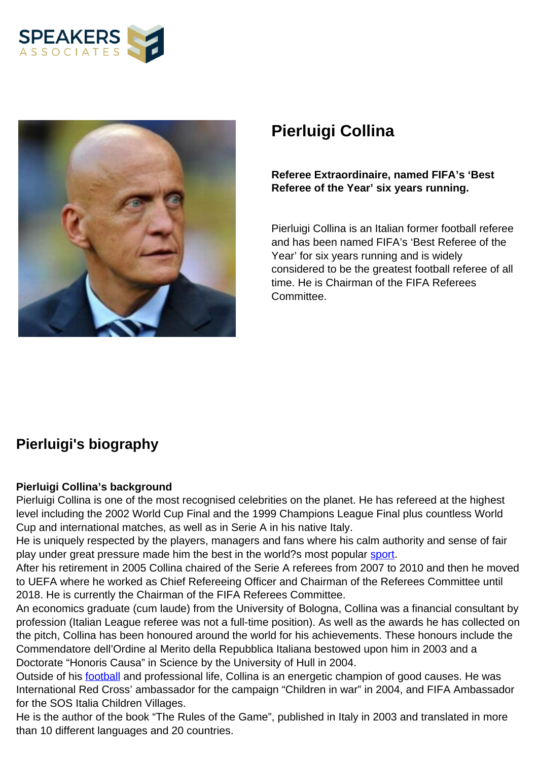



# **Pierluigi Collina**

#### **Referee Extraordinaire, named FIFA's 'Best Referee of the Year' six years running.**

Pierluigi Collina is an Italian former football referee and has been named FIFA's 'Best Referee of the Year' for six years running and is widely considered to be the greatest football referee of all time. He is Chairman of the FIFA Referees Committee.

## **Pierluigi's biography**

#### **Pierluigi Collina's background**

Pierluigi Collina is one of the most recognised celebrities on the planet. He has refereed at the highest level including the 2002 World Cup Final and the 1999 Champions League Final plus countless World Cup and international matches, as well as in Serie A in his native Italy.

He is uniquely respected by the players, managers and fans where his calm authority and sense of fair play under great pressure made him the best in the world?s most popular [sport.](””//www.speakersassociates.com/sports-personalities/”””)

After his retirement in 2005 Collina chaired of the Serie A referees from 2007 to 2010 and then he moved to UEFA where he worked as Chief Refereeing Officer and Chairman of the Referees Committee until 2018. He is currently the Chairman of the FIFA Referees Committee.

An economics graduate (cum laude) from the University of Bologna, Collina was a financial consultant by profession (Italian League referee was not a full-time position). As well as the awards he has collected on the pitch, Collina has been honoured around the world for his achievements. These honours include the Commendatore dell'Ordine al Merito della Repubblica Italiana bestowed upon him in 2003 and a Doctorate "Honoris Causa" in Science by the University of Hull in 2004.

Outside of his [football](””//www.speakersassociates.com/sports-personalities/”””) and professional life, Collina is an energetic champion of good causes. He was International Red Cross' ambassador for the campaign "Children in war" in 2004, and FIFA Ambassador for the SOS Italia Children Villages.

He is the author of the book "The Rules of the Game", published in Italy in 2003 and translated in more than 10 different languages and 20 countries.